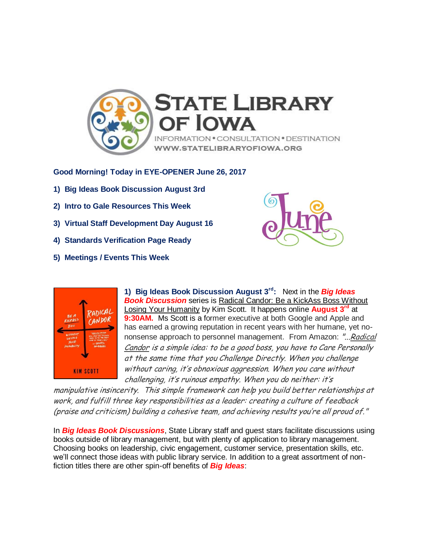

**Good Morning! Today in EYE-OPENER June 26, 2017**

- **1) Big Ideas Book Discussion August 3rd**
- **2) Intro to Gale Resources This Week**
- **3) Virtual Staff Development Day August 16**
- **4) Standards Verification Page Ready**
- **5) Meetings / Events This Week**





**1) Big Ideas Book Discussion August 3rd:** Next in the *Big Ideas*  **Book Discussion** series is Radical Candor: Be a KickAss Boss Without Losing Your Humanity by Kim Scott. It happens online **August 3rd** at **9:30AM.** Ms Scott is a former executive at both Google and Apple and has earned a growing reputation in recent years with her humane, yet nononsense approach to personnel management. From Amazon: "...Radical Candor is a simple idea: to be a good boss, you have to Care Personally at the same time that you Challenge Directly. When you challenge without caring, it's obnoxious aggression. When you care without challenging, it's ruinous empathy. When you do neither: it's

manipulative insincerity. This simple framework can help you build better relationships at work, and fulfill three key responsibilities as a leader: creating a culture of feedback (praise and criticism) building a cohesive team, and achieving results you're all proud of."

In *Big Ideas Book Discussions*, State Library staff and guest stars facilitate discussions using books outside of library management, but with plenty of application to library management. Choosing books on leadership, civic engagement, customer service, presentation skills, etc. we'll connect those ideas with public library service. In addition to a great assortment of nonfiction titles there are other spin-off benefits of *Big Ideas*: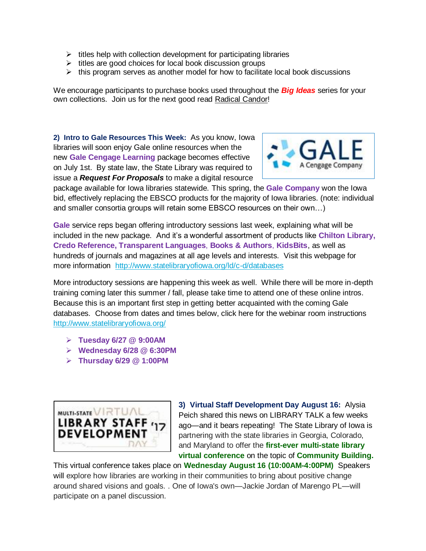- $\triangleright$  titles help with collection development for participating libraries
- $\triangleright$  titles are good choices for local book discussion groups
- $\triangleright$  this program serves as another model for how to facilitate local book discussions

We encourage participants to purchase books used throughout the *Big Ideas* series for your own collections. Join us for the next good read Radical Candor!

**2) Intro to Gale Resources This Week:** As you know, Iowa libraries will soon enjoy Gale online resources when the new **Gale Cengage Learning** package becomes effective on July 1st. By state law, the State Library was required to issue a *Request For Proposals* to make a digital resource



package available for Iowa libraries statewide. This spring, the **Gale Company** won the Iowa bid, effectively replacing the EBSCO products for the majority of Iowa libraries. (note: individual and smaller consortia groups will retain some EBSCO resources on their own…)

**Gale** service reps began offering introductory sessions last week, explaining what will be included in the new package. And it's a wonderful assortment of products like **Chilton Library, Credo Reference, Transparent Languages**, **Books & Authors**, **KidsBits**, as well as hundreds of journals and magazines at all age levels and interests. Visit this webpage for more information <http://www.statelibraryofiowa.org/ld/c-d/databases>

More introductory sessions are happening this week as well. While there will be more in-depth training coming later this summer / fall, please take time to attend one of these online intros. Because this is an important first step in getting better acquainted with the coming Gale databases. Choose from dates and times below, click here for the webinar room instructions <http://www.statelibraryofiowa.org/>

- **Tuesday 6/27 @ 9:00AM**
- **Wednesday 6/28 @ 6:30PM**
- **Thursday 6/29 @ 1:00PM**



**3) Virtual Staff Development Day August 16:** Alysia Peich shared this news on LIBRARY TALK a few weeks ago—and it bears repeating! The State Library of Iowa is partnering with the state libraries in Georgia, Colorado, and Maryland to offer the **first-ever multi-state library virtual conference** on the topic of **Community Building.** 

This virtual conference takes place on **Wednesday August 16 (10:00AM-4:00PM)** Speakers will explore how libraries are working in their communities to bring about positive change around shared visions and goals. . One of Iowa's own—Jackie Jordan of Marengo PL—will participate on a panel discussion.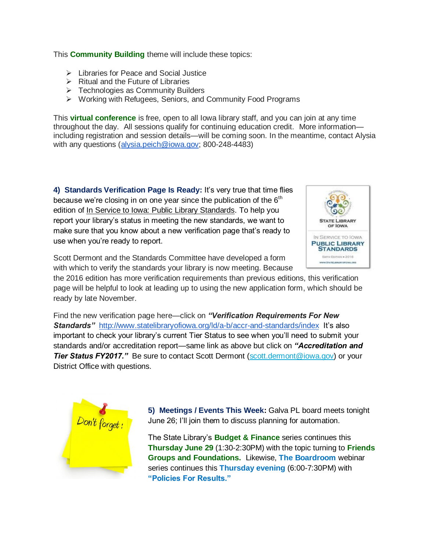This **Community Building** theme will include these topics:

- Libraries for Peace and Social Justice
- $\triangleright$  Ritual and the Future of Libraries
- $\triangleright$  Technologies as Community Builders
- Working with Refugees, Seniors, and Community Food Programs

This **virtual conference** is free, open to all Iowa library staff, and you can join at any time throughout the day. All sessions qualify for continuing education credit. More information including registration and session details—will be coming soon. In the meantime, contact Alysia with any questions [\(alysia.peich@iowa.gov;](mailto:alysia.peich@iowa.gov) 800-248-4483)

**4) Standards Verification Page Is Ready:** It's very true that time flies because we're closing in on one year since the publication of the  $6<sup>th</sup>$ edition of In Service to Iowa: Public Library Standards. To help you report your library's status in meeting the new standards, we want to make sure that you know about a new verification page that's ready to use when you're ready to report.



Scott Dermont and the Standards Committee have developed a form with which to verify the standards your library is now meeting. Because

the 2016 edition has more verification requirements than previous editions, this verification page will be helpful to look at leading up to using the new application form, which should be ready by late November.

Find the new verification page here—click on *"Verification Requirements For New*  **Standards"** <http://www.statelibraryofiowa.org/ld/a-b/accr-and-standards/index>It's also important to check your library's current Tier Status to see when you'll need to submit your standards and/or accreditation report—same link as above but click on *"Accreditation and*  **Tier Status FY2017."** Be sure to contact Scott Dermont [\(scott.dermont@iowa.gov\)](mailto:scott.dermont@iowa.gov) or your District Office with questions.



**5) Meetings / Events This Week:** Galva PL board meets tonight June 26; I'll join them to discuss planning for automation.

The State Library's **Budget & Finance** series continues this **Thursday June 29** (1:30-2:30PM) with the topic turning to **Friends Groups and Foundations.** Likewise, **The Boardroom** webinar series continues this **Thursday evening** (6:00-7:30PM) with **"Policies For Results."**